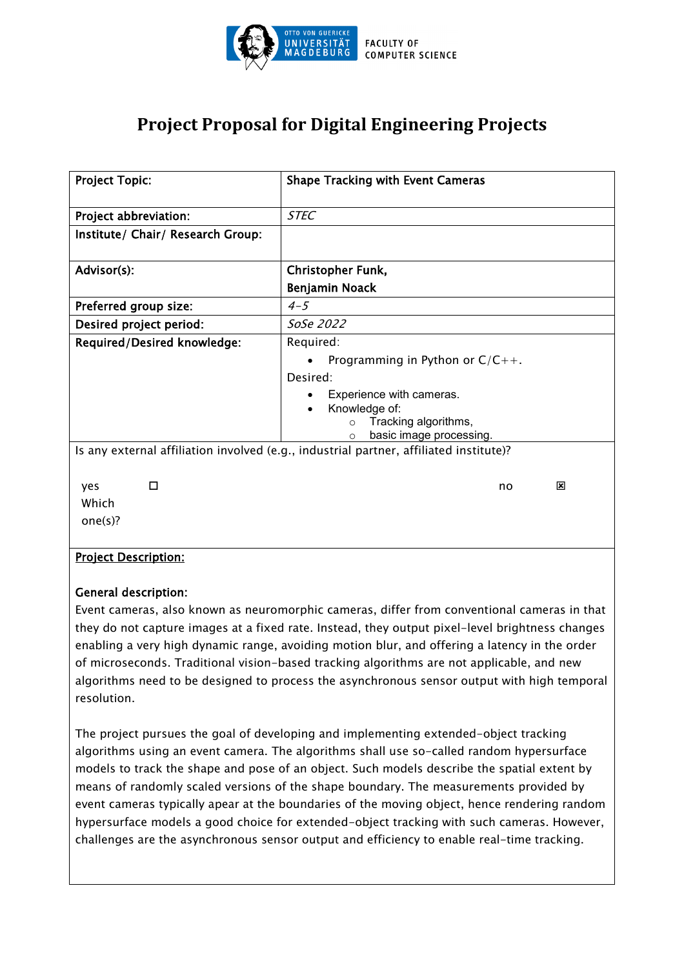

## **Project Proposal for Digital Engineering Projects**

| <b>Project Topic:</b>                                       | <b>Shape Tracking with Event Cameras</b>                                                                                                                                                                                                                                    |
|-------------------------------------------------------------|-----------------------------------------------------------------------------------------------------------------------------------------------------------------------------------------------------------------------------------------------------------------------------|
| Project abbreviation:                                       | <b>STEC</b>                                                                                                                                                                                                                                                                 |
| Institute/ Chair/ Research Group:                           |                                                                                                                                                                                                                                                                             |
| Advisor(s):                                                 | Christopher Funk,                                                                                                                                                                                                                                                           |
|                                                             | Benjamin Noack                                                                                                                                                                                                                                                              |
| Preferred group size:                                       | $4 - 5$                                                                                                                                                                                                                                                                     |
| Desired project period:                                     | SoSe 2022                                                                                                                                                                                                                                                                   |
| Required/Desired knowledge:                                 | Required:<br>Programming in Python or $C/C++$ .<br>Desired:<br>Experience with cameras.<br>Knowledge of:<br>Tracking algorithms,<br>$\circ$<br>basic image processing.<br>$\circ$<br>Is any external affiliation involved (e.g., industrial partner, affiliated institute)? |
| □<br>yes<br>Which<br>one(s)?<br><b>Project Description:</b> | x<br>no                                                                                                                                                                                                                                                                     |
|                                                             |                                                                                                                                                                                                                                                                             |

## General description:

Event cameras, also known as neuromorphic cameras, differ from conventional cameras in that they do not capture images at a fixed rate. Instead, they output pixel-level brightness changes enabling a very high dynamic range, avoiding motion blur, and offering a latency in the order of microseconds. Traditional vision-based tracking algorithms are not applicable, and new algorithms need to be designed to process the asynchronous sensor output with high temporal resolution.

The project pursues the goal of developing and implementing extended-object tracking algorithms using an event camera. The algorithms shall use so-called random hypersurface models to track the shape and pose of an object. Such models describe the spatial extent by means of randomly scaled versions of the shape boundary. The measurements provided by event cameras typically apear at the boundaries of the moving object, hence rendering random hypersurface models a good choice for extended-object tracking with such cameras. However, challenges are the asynchronous sensor output and efficiency to enable real-time tracking.